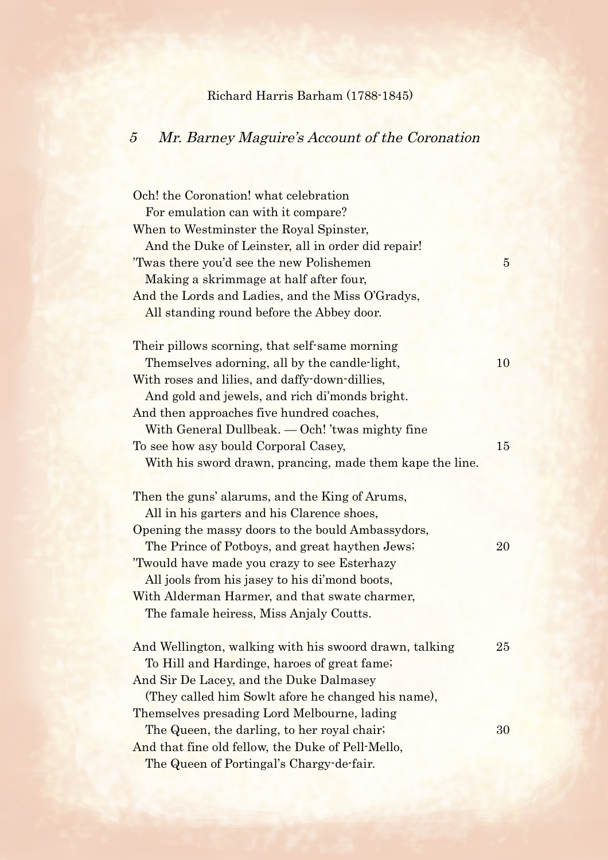## Richard Harris Barham (1788-1845)

## 5 Mr. Barney Maguire's Account of the Coronation

| Och! the Coronation! what celebration                    |                |
|----------------------------------------------------------|----------------|
| For emulation can with it compare?                       |                |
| When to Westminster the Royal Spinster,                  |                |
| And the Duke of Leinster, all in order did repair!       |                |
| Twas there you'd see the new Polishemen                  | $\overline{5}$ |
| Making a skrimmage at half after four,                   |                |
| And the Lords and Ladies, and the Miss O'Gradys,         |                |
| All standing round before the Abbey door.                |                |
| Their pillows scorning, that self-same morning           |                |
| Themselves adorning, all by the candle-light,            | 10             |
| With roses and lilies, and daffy-down-dillies,           |                |
| And gold and jewels, and rich di'monds bright.           |                |
| And then approaches five hundred coaches,                |                |
| With General Dullbeak. — Och! 'twas mighty fine          |                |
| To see how asy bould Corporal Casey,                     | 15             |
| With his sword drawn, prancing, made them kape the line. |                |
| Then the guns' alarums, and the King of Arums,           |                |
| All in his garters and his Clarence shoes,               |                |
| Opening the massy doors to the bould Ambassydors,        |                |
| The Prince of Potboys, and great hay then Jews;          | 20             |
| 'Twould have made you crazy to see Esterhazy             |                |
| All jools from his jasey to his di'mond boots,           |                |
| With Alderman Harmer, and that swate charmer,            |                |
| The famale heiress, Miss Anjaly Coutts.                  |                |
| And Wellington, walking with his swoord drawn, talking   | 25             |
| To Hill and Hardinge, haroes of great fame;              |                |
| And Sir De Lacey, and the Duke Dalmasey                  |                |
| (They called him Sowlt afore he changed his name),       |                |
| Themselves presading Lord Melbourne, lading              |                |
| The Queen, the darling, to her royal chair.              | 30             |
| And that fine old fellow, the Duke of Pell-Mello,        |                |
| The Queen of Portingal's Chargy-de-fair.                 |                |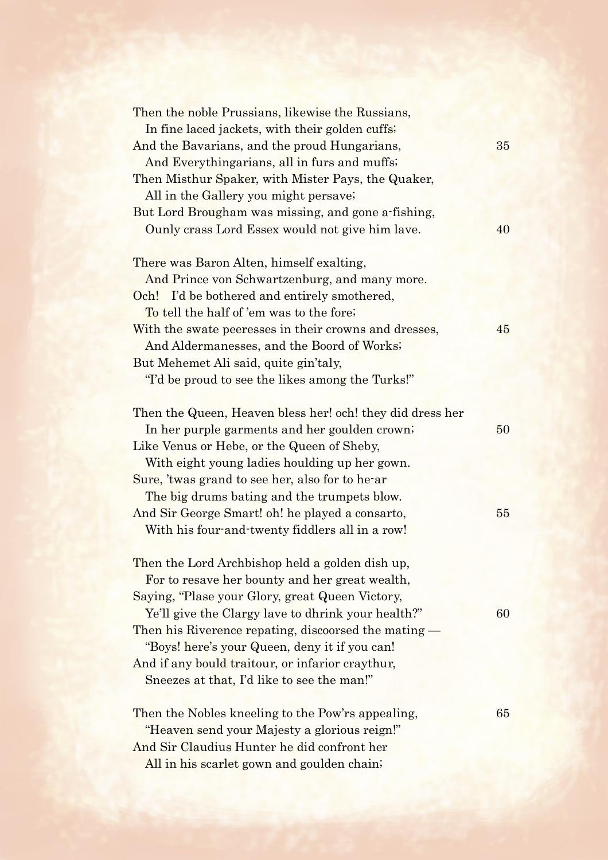| Then the noble Prussians, likewise the Russians,<br>In fine laced jackets, with their golden cuffs; |    |
|-----------------------------------------------------------------------------------------------------|----|
| And the Bavarians, and the proud Hungarians,                                                        | 35 |
| And Everythingarians, all in furs and muffs;                                                        |    |
| Then Misthur Spaker, with Mister Pays, the Quaker,                                                  |    |
| All in the Gallery you might persave;                                                               |    |
| But Lord Brougham was missing, and gone a-fishing,                                                  |    |
| Ounly crass Lord Essex would not give him lave.                                                     | 40 |
| There was Baron Alten, himself exalting,                                                            |    |
| And Prince von Schwartzenburg, and many more.                                                       |    |
| Och! I'd be bothered and entirely smothered,                                                        |    |
| To tell the half of 'em was to the fore;                                                            |    |
| With the swate peeresses in their crowns and dresses,                                               | 45 |
| And Aldermanesses, and the Boord of Works;                                                          |    |
| But Mehemet Ali said, quite gin'taly,                                                               |    |
| "I'd be proud to see the likes among the Turks!"                                                    |    |
| Then the Queen, Heaven bless her! och! they did dress her                                           |    |
| In her purple garments and her goulden crown;                                                       | 50 |
| Like Venus or Hebe, or the Queen of Sheby,                                                          |    |
| With eight young ladies houlding up her gown.                                                       |    |
| Sure, 'twas grand to see her, also for to he-ar                                                     |    |
| The big drums bating and the trumpets blow.                                                         |    |
| And Sir George Smart! oh! he played a consarto,                                                     | 55 |
| With his four-and-twenty fiddlers all in a row!                                                     |    |
| Then the Lord Archbishop held a golden dish up,                                                     |    |
| For to resave her bounty and her great wealth,                                                      |    |
| Saying, "Plase your Glory, great Queen Victory,                                                     |    |
| Ye'll give the Clargy lave to dhrink your health?"                                                  | 60 |
| Then his Riverence repating, discoorsed the mating.                                                 |    |
| "Boys! here's your Queen, deny it if you can!                                                       |    |
| And if any bould traitour, or infarior craythur,                                                    |    |
| Sneezes at that, I'd like to see the man!"                                                          |    |
| Then the Nobles kneeling to the Pow'rs appealing,                                                   | 65 |
| "Heaven send your Majesty a glorious reign!"                                                        |    |
| And Sir Claudius Hunter he did confront her                                                         |    |

All in his scarlet gown and goulden chain;